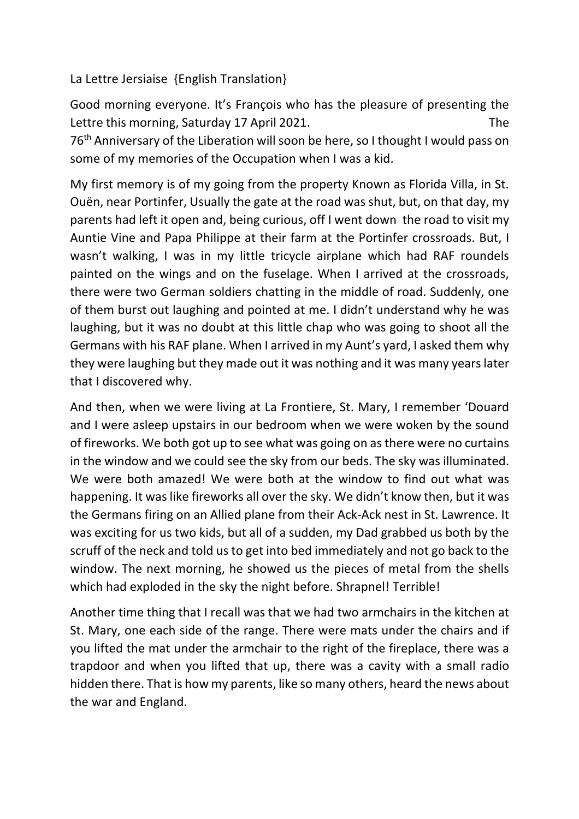La Lettre Jersiaise {English Translation}

Good morning everyone. It's François who has the pleasure of presenting the Lettre this morning, Saturday 17 April 2021. The 76th Anniversary of the Liberation will soon be here, so I thought I would pass on some of my memories of the Occupation when I was a kid.

My first memory is of my going from the property Known as Florida Villa, in St. Ouën, near Portinfer, Usually the gate at the road was shut, but, on that day, my parents had left it open and, being curious, off I went down the road to visit my Auntie Vine and Papa Philippe at their farm at the Portinfer crossroads. But, I wasn't walking, I was in my little tricycle airplane which had RAF roundels painted on the wings and on the fuselage. When I arrived at the crossroads, there were two German soldiers chatting in the middle of road. Suddenly, one of them burst out laughing and pointed at me. I didn't understand why he was laughing, but it was no doubt at this little chap who was going to shoot all the Germans with his RAF plane. When I arrived in my Aunt's yard, I asked them why they were laughing but they made out it was nothing and it was many years later that I discovered why.

And then, when we were living at La Frontiere, St. Mary, I remember 'Douard and I were asleep upstairs in our bedroom when we were woken by the sound of fireworks. We both got up to see what was going on as there were no curtains in the window and we could see the sky from our beds. The sky was illuminated. We were both amazed! We were both at the window to find out what was happening. It was like fireworks all over the sky. We didn't know then, but it was the Germans firing on an Allied plane from their Ack-Ack nest in St. Lawrence. It was exciting for us two kids, but all of a sudden, my Dad grabbed us both by the scruff of the neck and told us to get into bed immediately and not go back to the window. The next morning, he showed us the pieces of metal from the shells which had exploded in the sky the night before. Shrapnel! Terrible!

Another time thing that I recall was that we had two armchairs in the kitchen at St. Mary, one each side of the range. There were mats under the chairs and if you lifted the mat under the armchair to the right of the fireplace, there was a trapdoor and when you lifted that up, there was a cavity with a small radio hidden there. That is how my parents, like so many others, heard the news about the war and England.